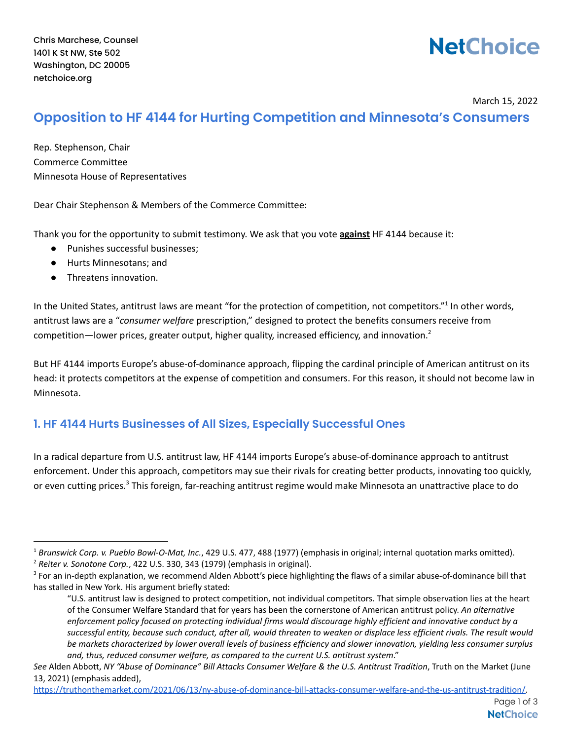# **NetChoice**

March 15, 2022

# **Opposition to HF 4144 for Hurting Competition and Minnesota's Consumers**

Rep. Stephenson, Chair Commerce Committee Minnesota House of Representatives

Dear Chair Stephenson & Members of the Commerce Committee:

Thank you for the opportunity to submit testimony. We ask that you vote **against** HF 4144 because it:

- Punishes successful businesses;
- Hurts Minnesotans; and
- Threatens innovation.

In the United States, antitrust laws are meant "for the protection of competition, not competitors."<sup>1</sup> In other words, antitrust laws are a "*consumer welfare* prescription," designed to protect the benefits consumers receive from competition—lower prices, greater output, higher quality, increased efficiency, and innovation.<sup>2</sup>

But HF 4144 imports Europe's abuse-of-dominance approach, flipping the cardinal principle of American antitrust on its head: it protects competitors at the expense of competition and consumers. For this reason, it should not become law in Minnesota.

## **1. HF 4144 Hurts Businesses of All Sizes, Especially Successful Ones**

In a radical departure from U.S. antitrust law, HF 4144 imports Europe's abuse-of-dominance approach to antitrust enforcement. Under this approach, competitors may sue their rivals for creating better products, innovating too quickly, or even cutting prices.<sup>3</sup> This foreign, far-reaching antitrust regime would make Minnesota an unattractive place to do

<sup>1</sup> *Brunswick Corp. v. Pueblo Bowl-O-Mat, Inc.*, 429 U.S. 477, 488 (1977) (emphasis in original; internal quotation marks omitted).

<sup>2</sup> *Reiter v. Sonotone Corp.*, 422 U.S. 330, 343 (1979) (emphasis in original).

<sup>&</sup>lt;sup>3</sup> For an in-depth explanation, we recommend Alden Abbott's piece highlighting the flaws of a similar abuse-of-dominance bill that has stalled in New York. His argument briefly stated:

<sup>&</sup>quot;U.S. antitrust law is designed to protect competition, not individual competitors. That simple observation lies at the heart of the Consumer Welfare Standard that for years has been the cornerstone of American antitrust policy. *An alternative* enforcement policy focused on protecting individual firms would discourage highly efficient and innovative conduct by a successful entity, because such conduct, after all, would threaten to weaken or displace less efficient rivals. The result would be markets characterized by lower overall levels of business efficiency and slower innovation, yielding less consumer surplus *and, thus, reduced consumer welfare, as compared to the current U.S. antitrust system*."

See Alden Abbott, NY "Abuse of Dominance" Bill Attacks Consumer Welfare & the U.S. Antitrust Tradition, Truth on the Market (June 13, 2021) (emphasis added),

[https://truthonthemarket.com/2021/06/13/ny-abuse-of-dominance-bill-attacks-consumer-welfare-and-the-us-antitrust-tradition/.](https://truthonthemarket.com/2021/06/13/ny-abuse-of-dominance-bill-attacks-consumer-welfare-and-the-us-antitrust-tradition/)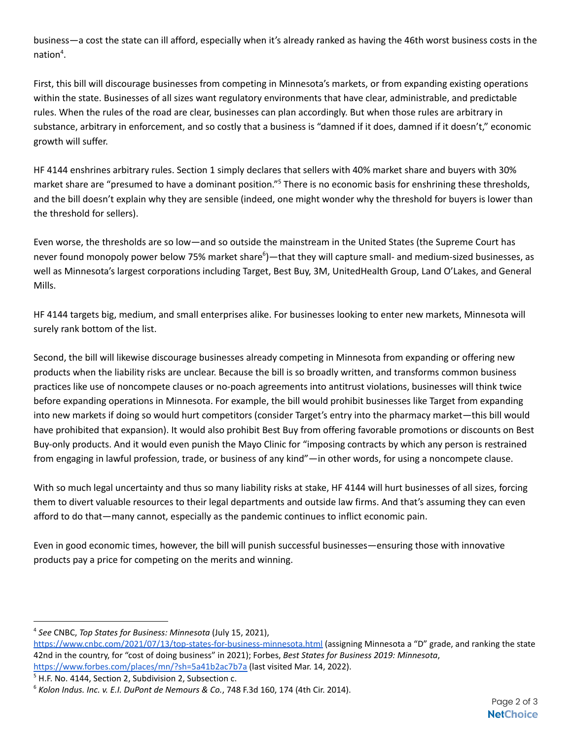business—a cost the state can ill afford, especially when it's already ranked as having the 46th worst business costs in the nation 4 .

First, this bill will discourage businesses from competing in Minnesota's markets, or from expanding existing operations within the state. Businesses of all sizes want regulatory environments that have clear, administrable, and predictable rules. When the rules of the road are clear, businesses can plan accordingly. But when those rules are arbitrary in substance, arbitrary in enforcement, and so costly that a business is "damned if it does, damned if it doesn't," economic growth will suffer.

HF 4144 enshrines arbitrary rules. Section 1 simply declares that sellers with 40% market share and buyers with 30% market share are "presumed to have a dominant position."<sup>5</sup> There is no economic basis for enshrining these thresholds, and the bill doesn't explain why they are sensible (indeed, one might wonder why the threshold for buyers is lower than the threshold for sellers).

Even worse, the thresholds are so low—and so outside the mainstream in the United States (the Supreme Court has never found monopoly power below 75% market share<sup>6</sup>)—that they will capture small- and medium-sized businesses, as well as Minnesota's largest corporations including Target, Best Buy, 3M, UnitedHealth Group, Land O'Lakes, and General Mills.

HF 4144 targets big, medium, and small enterprises alike. For businesses looking to enter new markets, Minnesota will surely rank bottom of the list.

Second, the bill will likewise discourage businesses already competing in Minnesota from expanding or offering new products when the liability risks are unclear. Because the bill is so broadly written, and transforms common business practices like use of noncompete clauses or no-poach agreements into antitrust violations, businesses will think twice before expanding operations in Minnesota. For example, the bill would prohibit businesses like Target from expanding into new markets if doing so would hurt competitors (consider Target's entry into the pharmacy market—this bill would have prohibited that expansion). It would also prohibit Best Buy from offering favorable promotions or discounts on Best Buy-only products. And it would even punish the Mayo Clinic for "imposing contracts by which any person is restrained from engaging in lawful profession, trade, or business of any kind"—in other words, for using a noncompete clause.

With so much legal uncertainty and thus so many liability risks at stake, HF 4144 will hurt businesses of all sizes, forcing them to divert valuable resources to their legal departments and outside law firms. And that's assuming they can even afford to do that—many cannot, especially as the pandemic continues to inflict economic pain.

Even in good economic times, however, the bill will punish successful businesses—ensuring those with innovative products pay a price for competing on the merits and winning.

<sup>5</sup> H.F. No. 4144, Section 2, Subdivision 2, Subsection c. <https://www.forbes.com/places/mn/?sh=5a41b2ac7b7a> (last visited Mar. 14, 2022).

<sup>4</sup> *See* CNBC, *Top States for Business: Minnesota* (July 15, 2021),

<https://www.cnbc.com/2021/07/13/top-states-for-business-minnesota.html> (assigning Minnesota a "D" grade, and ranking the state 42nd in the country, for "cost of doing business" in 2021); Forbes, *Best States for Business 2019: Minnesota*,

<sup>6</sup> *Kolon Indus. Inc. v. E.I. DuPont de Nemours & Co.*, 748 F.3d 160, 174 (4th Cir. 2014).